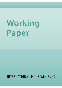# Working Paper

## INTERNATIONAL MONETARY FUND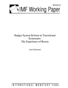

### Budget System Reform in Transitional Economies: The Experience of Russia

*Jack Diamond* 

INTERNATIONAL MONETARY FUND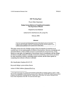#### **IMF Working Paper**

#### Fiscal Affairs Department

#### **Budget System Reform in Transitional Economies: The Experience of Russia <sup>1</sup>**

Prepared by Jack Diamond

Authorized for distribution by Ke-young Chu

February 2002

#### **Abstract**

**The views expressed in this Working Paper are those of the author(s) and do not necessarily represent those of the IMF or IMF policy. Working Papers describe research in progress by the author(s) and are published to elicit comments and to further debate.** 

This paper stresses the role of budget system reform in economies in transition as an essential basis for the implementation of effective fiscal policies. However, introducing such structural reforms in often unstable economic environments has not proved easy. Using Russia as a case study, the magnitude of the problems faced is documented, and the strategy of reform eventually adopted is critically reviewed. **In** conclusion, some lessons are drawn for other transitional countries undertaking similar reforms, and the future agenda for completing these reforms in Russia is indicated.

JEL Classification Numbers:E6, D7, P2

Keywords: Budget system reform, Russia

Author's E-Mail Address: jdiamond@imf.org

<sup>&</sup>lt;sup>1</sup> A first draft of this paper was prepared for the Seminar on Post Election Strategy in Russia, April 3–6, 2000. **This has been subsequently revised with the assistance of Mr. Suhas Joshi, fonner IMP resident treasury advisor in Russia, and with helpful comments from Mr. Alistair Moon, World Bank, and various colleagues in the Fiscal Affairs Department** of the **IMF. The usual disclaimers apply.**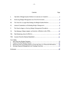#### Contents Page

<span id="page-3-2"></span><span id="page-3-1"></span><span id="page-3-0"></span> $\sim$ 

 $\sim 10^6$ 

| Ι.                                                                                                                                           |  |  |  |  |
|----------------------------------------------------------------------------------------------------------------------------------------------|--|--|--|--|
| Π.                                                                                                                                           |  |  |  |  |
| III.                                                                                                                                         |  |  |  |  |
| IV.                                                                                                                                          |  |  |  |  |
| $V_{\cdot}$                                                                                                                                  |  |  |  |  |
| VI.                                                                                                                                          |  |  |  |  |
| VII.                                                                                                                                         |  |  |  |  |
| VIII.                                                                                                                                        |  |  |  |  |
| <b>Text Tables</b><br>1.<br>2.<br>Restructure the Accounting System to Form the Basis of a Financial Information $\overline{16}$<br>3.<br>4. |  |  |  |  |
|                                                                                                                                              |  |  |  |  |

 $\sim 10^6$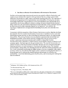#### **[I. THE ROLE OF BUDGET SYSTEM REFORM IN ECONOMIES IN TRANSITION](#page-3-0)**

<span id="page-4-0"></span>Realistic and accurate budget planning and execution are central to effective fiscal policy, and require not just administrative capacity within government but also a budget system which determines the procedures to plan, control, and monitor spending effectively. The importance of institutional arrangements tor the implementation and sustainability of fiscal policy has been increasingly emphasized? Recent literature on fiscal decentralization has indicated that fiscal consolidation may be more difficult to attain in a setting with uncoordinated decentralization.<sup>3</sup> Many studies have also indicated the importance for fiscal discipline of the constraints imposed by fiscal rules and by other constraints imposed by the legislature,<sup>4</sup> and similarly, the importance of administrative arrangements for translating fiscal policy into action has been stressed.<sup>5</sup>

Concurrently with this recognition of the influence of institutions on policy, there has also been the realization that the structural transformation of economies in transition involves more than liberalizing economic policies, but also in building the institutional capacity for implementing these policies. The growing literature analyzing transition experiences has stressed that such fundamental economic retorm entails a process of change that is heavily influenced by a country's underlying institutional structure and its ability to change that structure. Transformation from a planned to a market economy requires drastic changes in behavior in all economic agents—but most especially the government sector. The essential characteristic of a planned economy is that the government is the major allocator and user of resources through a planning mechanism and associated passive fmancing by the budget system. The transition process requires, among others, that planning processes be replaced by market mechanisms, and this, in turn, necessitates transforming the budget system to one more compatible with a market economy. In this way, the reform of the budget system is critical in ensuring that the behavior of the government sector reinforces the transition process and increases its credibility and sustainability—in actively determining goals of public policy, and in ensuring and verifying that these are achieved.

<sup>2</sup> Williamson, 1993; Holtham and Kay, 1995; Hausman and Stein, 1997.

<sup>&</sup>lt;sup>3</sup> Ter-Minassian and Craig, 1997.

 $4$  Von Hagen and Horden, 1996; Potarba, 1996.

<sup>&</sup>lt;sup>5</sup> This work in fiscal policy parallels another widely studied area—the degree of independence of the Central Bank **and its implications for** monetary policy targets **(Masciandro and Tebellini (1991), Cukiennan, Neyapti and Webb**  (1992), Alesina and Summers (1993».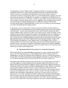<span id="page-5-0"></span>As utilized here, the term "budget system" is interpreted broadly to encompass the legal, institutional framework as well as the administrative procedures that determine the means whereby resources are transferred to the government, how the use of these resources is prioritized and directed to agreed policy objectives, and then subsequently managed, controlled, monitored, and reported on. Perhaps this very breadth is an explanation of why the process of budget system reform has not proved easy—indeed for many of the transitional economies, after over a decade in transition, the process is yet to be completed. Why has progress been so slow? Why has this type of institutional change proved so difficult to engineer? Why has this structural reform typically lagged behind those in other areas, for example, in restructuring the role of the central bank and the banking system?

In attempting to answer such questions from the experience of Russia, this paper begins by examining the forces that shaped the scope for reforming budgetary practices during the initial transition period-a period of pronounced fiscal stress, which certainly curtailed the reform options available. Other constraints on reform were external [actors, outside the budget system, arising from the institutional and procedural legacy of the planning system. The weaknesses in the Russian budget system inherited from the Soviet era meant that any solution would take time. Certain key areas in budget management required radical restructuring, and in other areas new functions required to be created. Against these weaknesses, the strategy of reform in the 1990s, leading to the adoption ofa new budget system law, the Budget Code, in 2000, is described, and the level of success in improving various aspects of budget management is then assessed. Finally, a retrospective assessment of the Russian experience is offered to highlight key lessons learned from Russian efforts in reforming its budget system in the transition period, which may be of more general applicability.

#### [II. REFORMING BUDGET MANAGEMENT IN A CRISIS ENVIRONMENT](#page-3-0)

The ultimate objective of reforming budget management is to create a budget system able to perform the three main functions of a modern budget system: first, to ensure control over expenditures so that they are consistent with the budget law; second, to stabilize the economy through timely and efficient adjustment in fiscal aggregates; and third, to promote efficiency in service delivery through procedures that provide incentives for greater productivity.

The budget system that Russia inherited from the Soviet Union focused mainly on the task of ensuring compliance with government-endorsed expenditure plans and enabling laws and decrees. Even from this perspective, budgetary controls were less than complete and relied on controls derived from other parts of a highly controlled political system. The tasks of ensuring macroeconomic stability and efficiency were viewed as the prime responsibility of the centralized planning process, which aimed to ensure overall balance in the economy, and that resources were employed in such a way as to maximize society's development objectives, as defmed in the national plan. In meeting these objectives, the budget system only played a supporting role. The fiscal imbalances and blatant inefficiencies in production that ultimately became evident toward the end of the Soviet era made clear that the planning system could not meet sustainable stabilization and efficiency objectives. This failure, and the consequent economic crisis created, led to increasing recognition of the need to reform budget management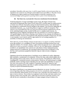<span id="page-6-0"></span>procedures. Ironically, at the same time, it could be argued that the crisis environment that was engendered also made the task of budget system reform much more difficult. This lack of room to maneuver in a highly unstable environment quickly revealed the weaknesses of an incremental budget system geared to operating within a system of administered prices.

#### **III.** [THE NEED FOR A LONGER-RUN STRATEGY FOR BUDGET SYSTEM REFORM](#page-3-0)

From the perspective of longer-term budget system reform, the degree of fiscal stress encountered in Russia and other former Soviet Union (FSU) countries made the implementation of reform more difficult. Fiscal policy during the initial transition period, which should have been designed to complement structural changes in the economy, was directed to supporting old institutional structures—e.g., by providing financial support to inefficient enterprises. This reaction to the fiscal difficulties that were being encountered hindered complementary reforms in the underlying budget system, required for the move to a market-based economy. As indicated previously, budgctary management had to be reoriented from ensuring compliance with agreed budgetary allocations to ensuring overall balance in the economy and efficiency in resource allocation. However, preoccupations with immediate problems of fiscal stress, the need to accommodate vested interests, and the opportunities for rent seeking jeopardized the possibility of attaining this reorientation.

More narrowly, in terms of budget management procedures, the urgency in dealing with fiseal stress also resulted in an overemphasis on short-run solutions, diverting attention away from long-term solutions. For example, initially, a typical short-run approach was to match spending allocations to short-run resource availability. However, the only administrative mechanisms available to cut expenditures were controls over cash releases without fundamental policy changes and cuts in commitments, this cash-based adjustment proved to be disruptive in the shortrun, and its persistence jeopardized desirable long-run improvements to budgetary procedures.

Experience showed that the imposition of cash limits was no substitute for policy adjustment that would allow commitments to be restrained. Without the latter, cash controls tended only to delay spending and/or create arrears to the rest of the economy. Throughout the 1990s, Russia was plagued by a substantial domestic arrears problem. Moreover, the social pressure to exempt politically sensitive and large items of spending from the cash limits implied that the impact of cuts were more severe on the other categories of spending. In particular, operations and maintenance spending suffered, and delays in capital spending resulted in a substantial number of partly completed and abandoned projects.

The degree of inefficiency in government resource allocations was severe. Focusing on cuts in items of spending rather than cutting programs and activities undoubtedly added to inefficient resource allocation. Indiscriminate across-the-board cuts in materials were most disruptive to all types of service delivery. The problem was heightened by the fact that cash limits usually were imposed at short notice from the center, without the involvement of spending ministries. Not only did this add considerably to the problems of budget managers trying to minimize the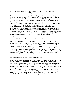<span id="page-7-0"></span>disruption to orderly resource allocation, but also, at the same time, it considerably added to the uncertainty of future resource availability.

Obviously, if carefully engineered, short-run and longer-run improvements to the budget system need not be incompatible. While fiscal crisis may have been a barrier to reform, it could also have been an opportunity to introduce fundamental reforms. It has been argued that in crisis conditions changes may be more easily accepted and more quickly implemented. However, faced by important vested interests, there was only a slowly growing recognition that the longrun solution to some of the worse aspects of fiscal stress lay in undertaking budgetary reforms that would allow the budget to become a tool to stabilize the economy (rather than a destabilizer) and give it the flexibility to adapt more successfully to rapidly changing circumstances. The initial reaction was to attempt to muddle through. Moreover, many of the short-term solutions previously described did not promote a healthy environment for reform, nor did they encourage increasing flexibility that would allow a more rapid and orderly response to resource shortfalls. There was an obvious need for a long-run strategy of budget reform that should run parallel with, and allow the integration of the short-term demands of crisis management.

#### [IV. EXTERNAL CONSTRAINTS ON REFORMING BUDGET MANAGEMENT](#page-3-1)

Any long-term strategy for reform in the fiscal area had to come to terms with rapid changes in all spheres of life experienced in the FSU. Certainly, when dealing with the budgetary process in FSU countries, it was impossible not to be aware that this was an evolving system. This was evidenced by rapidly changing administrative structures, characterized by a fragmentation of functions as redundant institutions were replaced on a piecemeal basis with new institutions more relevant to a market-based economic structure. This process led to a lack of clarity in key areas ofthe budget process, both with regard to responsibilities and the procedures employed. A number of factors can be identified as contributing to this uncertainty, and having a direct impact on the budget process, are discussed below.

#### The emerging view of the state's role in economic activity

Initially, the major part of economic activity lay in the public domain, with an unsettled political consensus on what should remain public and what should form the basis of a nascent private sector. Underlying the difficulty in defming the role of the state was a system where functions were intermingled and the budgetary sphere of activity remained undefmed. Large enterprises undertook functions that would be considered budgetary in nature (e.g., maintenance of schools, clinics, daycare, and retirement centers; and the provision of basic infrastructure), whereas budgetary institutions often carried out functions that were potentially of a private nature (e.g., some large ministries were often no more than holding companies for enterprises, and large ministries, like Defense, had numerous enterprises in their portfolios). Even today, this commingling of functions survives in lower levels of government.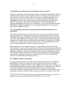#### The changing power balance between the legislature and the executive

Perhaps, not surprisingly, when moving from a situation where the Communist Party controlled both the legislature and the executive branches, in the new constitutional environment the two branches have had to fmd a modus vivendi in various areas, including budget issues. The resulting tension has been one of the factors that stimulated the number and importance of extrabudgetary funds and quasi-fiscal operations, outside the budget and the control of the MOF. On a general level, this had important implications for the ability of the MOF to formulate and implement fiscal policy. More specifically, it often created frictions between the MOF and the emerging Ccntral Bank, which was granted independence from the executive, answering to the legislative branch.

#### The evolving balance between the central government and the subordinate levels of government

This balance has fluctuated over the decade. First, there was a move to decentralization and a consequent imbalance in distributing the burden of government spending rclative to receipts. The initial result was growing deficits at the federal level and increasing surpluses at the local lcvels. This vertical imbalance in the public finances was subsequently reversed by the center assigning more unfunded functions to the lower-level governments.<sup>6</sup> Although by end-1999, on average, federal transfers only accounted for about 15 percent of subnational revenues, they were of critical importance for a majority of regions and localities.

Budget legislation evolved alongside this process, trying to impose some ordcr on a rather chaotic situation. The net result has been an open contradiction. In theory, the regions should be under the control of the federal government. Federal laws determine the majority of revenue and expenditure obligations—the federal Tax Ministry collects all taxes and then allocates them to various budgets. All main tax rates and tax-sharing rules are determined in the federal Budget Law. However, in practice, the lower levels of government were able to circumvent these controls, in ways that undermined budget processes.

#### The realigning of finance and planning

From being the prime allocator of resources in the economy through its power in determining the statc plan, the ministry in charge of the economy (typically the successor of the State Planning Ministry, Gosplan) was forced to take a subsidiary role in this process. In Russia, as in many republics, though still nominally in charge of macroeconomic planning, the new Ministry of Economy (MOE) found this task increasingly difficult in an uncertain and volatile environment. Although it managed to retain its authority to determine investments, this was also of diminished importance with the decline in resources available for investment. On the other

 $6$  This paper does not deal with the fiscal federalism aspects of the Russian budget system. This is a wide topic and the subject of intensive study elsewhere (Wallich 1994; OECD 2000; Lavrov et al., 2000).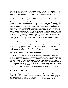<span id="page-9-0"></span>hand, the MOF, from its former role as a support function of the planning process, emerged as the prime allocator of resources in the economy through the budget. Although ill-prepared and, initially, in the absence of developed monetary instruments, the MOF also had to assume the role of the principal macroeconomic manager.

#### The changes in the relative importance of different departments within the MOF

In a stable planning environment, the Budget Department, responsible for preparing the budget, derived its importance from determining financing flows to facilitate the plan's implementation. However, in the turbulent macroeconomic conditions experienced in the early stages of the transition process, the budget's role as a resource allocation mechanism was downgraded in importance and its role in securing greater macroeconomic stability was increased. Moreover, the lack of political consensus and the volatility in economic conditions resulted in recourse to quarterly budgets and the constant need to adjust budget appropriations through the year, which in any case became increasingly irrelevant in conditions of high inflation. Mechanisms to ensure in-year adjustment became crucial elements of the budget system. The consequence of these developments was to increase the importance of budget execution at the expense of budget preparation, with a parallel shift in power away from the Budget Department to the newly created Treasury Department.

#### [V. TilE NEED TO IMPROVE EXISTING BUDGET MANAGEMENT PROCEDURES](#page-3-0)

The transition process increasingly entailed a reorganization of economic policymaking. To the extent that the old planning orientation remained, it was more difficult to achieve this reorganization. This legacy of the planning system posed a number of constraints in transforming budget management into a more modern system geared to a market economy.

#### The institutional arrangements of budget management

One noticeable institutional feature was the relative status of line ministries with respect to the MOF. In the former Soviet budget system, the plan determined resource allocation, and the line ministries controlled resource allocation within broad economic sectors of the plan. This meant that the ministries were primarily responsible for budget preparation and execution in their respective sectors. The MOF played a rather passive role, consolidating the sectoral budgets and monitoring their execution throughout the year to ensure adequate budget funding. Similarly, in the budget execution phase, the MOF acted as a central funding agent, "distributing" funds to ministries so that they could adequately fund planning targets in their respective economic sectors.

#### The lack of status of the MOF

Since the planning process exerted real control over resource flows, and the MOF was viewed primarily as the fmancing agent for the plan, the MOF lacked special status. Indeed, since the plan attempted to ensure overall balance in the economy, important centralized stabilization functions typically found in ministries of finance in OECD countries were absent. The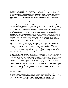consequence was typically a MOF subservient to the powerful planning ministry (Gosplan)—a relationship that sometimes lingered into the 1990s in some FSU countries with Gosplan's successor, the MOE, Howevcr, even when this relationship was corrected, the MOF continued to be one ministry among other, sometimes morc powerful, ministries (like Defense and Interior), and did not easily attain the status of the first among equals, as is typical in most OECD countrics,

#### The internal organization of the MOF

The internal organization of the MOF in FSU republics inherited features arising from their previous subordinate function as the financing arm of the national plan. Three features were notable, First, the MOF organizational structure reflected the importance of "branch functions," which formerly dealt with the budgetary financing of major economic sectors identified in the plan, Second, as indicated, there was generally a lack of centralized functions to implement macroeconomic forecasting, analysis, and policy, which, in the past were the responsibility of Gosplan, Third, there was a limited centralized accounting function, which was previously the prerogative of the central bank (Gosbank), which also had some verification powers to ensure the correctness of payments and receipts and to report their details, Budget-supported institutions did, however, follow detailed compliance-oriented accounting to prepare year-end statements of financial and physical assets and liabilities.

The continuing influence of the previous planning system as an external constraint on budget reform should not be underestimated, All of the above features of the planning process persisted to varying degrees in the FSU republics—including Russia—throughout the 1990s, and imposed extemal constraints on attempts to reform the budget system, As a consequence, restructuring of the budget system necessarily involved a wider focus—the legal framework, institutional arrangements, and the system of public administration as a whole,

In addressing the weaknesses previously identified, it was perhaps not surprising that reform of budget management was not tackled as a system but in a piecemeal way, Inevitably, in the rather turbulent environment of the 1990s, a balance had to be maintained between undertaking long-term reforms and the unavoidable needs of crisis management. Concurrently, reform energies had to be balanced between *improving* current budget procedures with the need to develop and introduce *new* budget management functions, Certainly, the need to improve budget procedures was underlined by the difficulty in accommodating the short-run demands of a crisis environment. Being ill-equipped for this new role, macroeconomic management often degenerated into short-run responses to recurring crises, It is possible to identify a number of causes for this arising from poor budget management procedures,

#### Incomplete budget coverage

To use the budget successfully as an instrument of macroeconomic stabilization, it is important to be able to measure its overall impact on the economy, From this viewpoint, the Russian MOF found itself handicapped, A large part of government activities was excluded from the operations covered by the budget—the large extrabudgetary funds, the lower levels of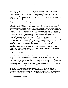government that were required to assume increasing expenditure responsibilities, a large number of unknown contingent items, indirect subsidies through the extension of credit by the central bank, and foreign grants in kind. The compartmentalization of government transactions, by the earmarking of revenues for particular expenditures, which occurred in major extrabudgetary funds and underlay budgeting for foreign economic activities, also cut down the MOF's flexibility to adjust aggregate spending.

#### Fragmentation **in** control of fiscal aggregates

Institutionally, there were a number of constraints on the ability of the MOF to adjust fiscal aggregates. The most conspicuous was that key budget aggregates were under the control of different institutions, although the assignment of responsibilities was often fluid. In Russia as of end-1992, budget estimates of foreign transactions were the responsibility of the Department of Monetary and Financial Regulation, not the Budget Department. With regard to foreign debt transactions, initially the responsibility was shared with a new Foreign Credits Department of the MOF, the specialized foreign fmancing and trade banks (the Vneshekonombank and the Vneshtorgbank). As a result of this institutional fragmentation, the MOF had no complete register of foreign debt and no register of guarantees. Similarly, with regard to capital investment in the budget, this was the joint responsibility of the Ministry of Economy (formerly the Union Gosplan) and the MOF. With respect to the financing of government operations through domestic government securities, the responsibility was shared with the government Securities and Financial Market Department of the MOF and the Bank of Russia (BOR),<sup>7</sup> with little apparent coordination between them. Moreover, there seemed to be no coordinated approach to budget management by key macroeconomic managers-Central Bank, MOF, MOE, State Tax Service (later Ministry of Taxation)—which often displayed independent and contradictory approaches to policy questions.

#### Inadequate information

Flexibility was further reduced by the accounting system geared to verification and compliance so that it generated information necessary to ensure this type of control. As a consequencc, emphasis was on recording the last stage of the spending process, and the MOF only aimed for cash control over the spending ministries, but not of prior stages of spending by the lower-level spending units (SUs). Concentrating controls on cash disbursements without controlling the commitments of SUs not only led to disruptions in orderly resource allocation within ministries but also to SUs accumulating arrears to the rest of the economy.

The absence of commitment reporting, a neglect of contingent items, reporting on an institutional rather than on an economic basis, emphasizing the final stage of spending, compiled in great detail, and reporting only with a considerable time lag-were all handicaps that were progressively revealed in the 1990s. The resulting lack of fiscal management

<sup>7</sup> Formerly, Central Bank of Russia (CBR).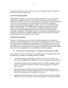<span id="page-12-0"></span>information prevented the rapid corrective action that was required in order to anticipate and redress deviations from budget targets.

#### Lack of forecasting capability

Macroeconomic managers are allowed some degree of flexibility insofar as they are able to predict future developments. Initially, macroeconomic forecasting was carried out almost exclusively by the MOE. However, having emerged from the planning system, the MOE tended to focus on growth of output of the main sectors of the economy and on sectoral-price projections rather than on financial aggregates. Initially, there was very limited forecasting capability within the MOF. This could be justified to a limited extent on the revenue side because of the Tax Ministry, but not with respect to spending. Unfortunately, the highly uncertain environment for budget preparation was not conducive to the development of forecasting. Consequently, in the absence of timely and comprehensive reporting, and without the ability to forecast future developments, budget execution was only capable of reacting to, rather than anticipating, developments in the economy.

#### Limited financial planning

The lack of flexibility encountered in the ability to adjust expenditures was reinforced by limitations in fmancial management. There was little cash management in the sense of evening out the fluctuations in receipts relative to expenditures. This arose partly from poor revenue forecasting but also from the lack of flexibility in the financing arrangements for government. In the absence of a securities market, the government was dependent on loans from the banking system, vetted by the legislature, with no overdraft facilities at the central bank.

#### [VI. THE STRATEGY OF IMPROVEMENT: AN OVERVIEW OF REFORM IN THE 1990s](#page-3-2)

To some degree, all the above deficiencies ofthe budget system were recognized in the 1990s and addressed, by progressively instituting a number of changes:

- Consolidating budget and extrabudgetary transactions to better control them, and to derive a more complete picture of the impact of government operations on the economy.
- Concentrating economic decision-making functions in the MOF, providing it with the powers of consultation and approval for major economic aggregates with respect to other institutions.
- Improving the type of information available to the MOF by including stages of the spending process prior to the final cash stage, and in a form that revealed the economic nature of the spending by improving budget classifications.
- Speeding up the information made available to the MOF, by requiring short summary "flash reports" from the ministries on the activities of their SUs, and through a network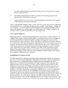of treasury ol1ices developing a parallel reporting system, centralizing the accounting function within the MOF.

- Establishing a department in the MOF responsible for forecasting and analysis of macroeconomic and fiscal developments.
- Integrating this forecasting function with cash management operations within the MOF to better plan the financing of government.

While recognizing that complete reform is in any of the above areas, there were two supporting areas which did much to consolidate the progress that was made. These changes—perhaps the most important—were in the legal and institutional framework governing the budget system; namely: the adoption of an organic budget law, and the separation of budget preparation and execution within the MOF by establishing a Treasury Department.

#### A new organic budget law

Budget legislation was reviewed, and modeling this on OECD lines, an organic budget law, or "Budget Code," based on market-based principles, was adopted. Whereas it was inevitable that short-run considerations dominated the public expenditure management objectives of the Russian MOF and made it essential to design more effective mechanisms to facilitate short-run fiscal adjustments, at the same time longer-run implications of short-term measures could not be neglectcd. The Russian authorities did not lose sight of the fact that over the medium term it would also be necessary to develop and implement a budget management system compatible with a market-based economic system. Therefore, from 1995, work commenced on a new Budget Code (organic budget system law) that would resolve these medium-term problems. Reorienting the budget system in this way required finding sustainable medium-term solutions to the systemic problems previously identified.

#### Establishment of a treasury system

The MOF restructured its functions separating budget preparation from budget execution and gave a newly created treasury department responsibility for the latter. Apart from changing the legal framework, to accommodate reforms in budget procedures throughout the 1990s, adjustments to the institutional arrangements for budget management also took place. Most important of these was the creation of a Federal Treasury Department in the MOF in 1994, charged with the execution of the budget, and with government accounting and general cash management operations for the government. Debt management, however, continued to be handled by other MOF departments, in a somewhat fragmented way. At first, the chief priority in developing a treasury system was the establishment of a branch network throughout the Federation to replicate the work that was previously undertaken by the BOR network. Much resistance initially came from the line ministries, who opposed entering the treasury system, and also from the BOR, who often did not cooperate with Federal Treasury (FT) initiatives. The turning point came in 1998, with the Presidential Decree on the Treasury's Development, which for the first time gave a definitive view of the FT as the main controller of budget execution in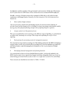the federation and the custodian of the government's cash resources. By the end of the decade, the FT system had over 2000 branch offices nationwide and an estimated 48,000 employees.

Broadly, a strategy of budget system reform emerged in 1990s that would tackle the main weaknesses in the budget system. Generally, the main elements of this reform process have focused on:

#### *• More realistic budget estimates*

This was principally carried out by developing capacity for macroeconomic planning, to provide a more realistic framework for the budget; by improving budget classifications; and by moving away from physical planning concepts when preparing budgets in agencies.

*• Greater control over the payment process* 

This was accomplished by better reporting on the different stages of spending, on commitments as well as cash, increasing the coverage of the budget and expanding the scope of fiscal reporting.

#### *• Restructuring the accounting system jor management purposes*

This involved moving central accounting out of the banking system into the MOF, developing a treasury ledger system, and reorienting the accounting away from the emphasis on compliance and final accounts, to provide management information on the in-year progress of budget **execution.** 

#### *• Developingfinancial management and planningfunctions*

This concentrated on better and more detailed financing plans, continuously updated in the MOF, based on more timely reports from budget institutions, alongside a better use of cash by consolidating government bank accounts to move to a single main account at the central bank.

These elements are described in more detail in Tables 1-4 below.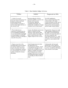<span id="page-15-0"></span>

| Problem                                                                                                                                                                                                                                                             | Solution                                                                                                                                                                                                                                                                                                                                                                           | Progress in the 1990s                                                                                                                                                                                                                                                                               |
|---------------------------------------------------------------------------------------------------------------------------------------------------------------------------------------------------------------------------------------------------------------------|------------------------------------------------------------------------------------------------------------------------------------------------------------------------------------------------------------------------------------------------------------------------------------------------------------------------------------------------------------------------------------|-----------------------------------------------------------------------------------------------------------------------------------------------------------------------------------------------------------------------------------------------------------------------------------------------------|
| 1. A lack of an <i>overall</i><br>macroeconomic framework for the<br>budget by which to set fiscal<br>targets and provide the<br>macroeconomic parameters on<br>which to base budget estimates at<br>the ministry level.                                            | Develop within the MOF the<br>technical capability to monitor and<br>forecast macroeconomic<br>developments, determine<br>consistent fiscal targets, and<br>facilitate the construction of budget<br>estimates based on these targets.                                                                                                                                             | The MOF established a<br>Macroeconomic Department that<br>worked closely with outside<br>research institutions and the IMF in<br>establishing the macroeconomic<br>framework in which fiscal policy<br>and the budget could be framed.                                                              |
| 2. The classification of<br>expenditures, inherited from the<br>previous planning environment,<br>was not economically meaningful<br>in an increasingly market-based<br>economy and hence not relevant as<br>a basis for fiscal policy.                             | Adopt a classification system more<br>suited to a market economy,<br>allowing a better analysis of the<br>economic content of spending, and<br>hence a better indication of the<br>budget's impact on the economy.                                                                                                                                                                 | Progressively, changes were made<br>in the economic classification of<br>the budget to remove functional<br>elements and to move the system to<br>one more compatible with<br>international standards (e.g., GFS).<br>Although a few anomalies remain,<br>progress has been marked in this<br>area. |
| 3. Budget preparation at the<br>spending-agency level was based<br>on rigid use of physical norms,<br>based on line items rather than<br>activities and programs, and there<br>is a general absence of economic<br>analysis of alternative resource<br>allocations. | Switch budget preparation from<br>line itemization to an<br>activity/program structure. Adopt<br>market-based techniques of cost<br>benefit and cost effectiveness, to be<br>applied to activities and projects,<br>that will provide more realistic<br>costing of alternatives as a basis for<br>identifying unproductive spending<br>and deciding on efficient cutback<br>plans. | Unfortunately, the functional<br>classification system still lacks<br>clearly defined activities/programs<br>as its base, and still bears the stamp<br>of the inherited soviet system.                                                                                                              |

#### [Table 1. More Realistic Budget Estimates](#page-3-2)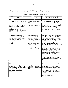<span id="page-16-0"></span>

| Problem                                                                                                                                                                                                                                                                                                                                                   | Solution                                                                                                                                                                                                                                                                                                                   | Progress in the 1990s                                                                                                                                                                                                                                                                                                                                                                                                                                                                                                                                                                                                                                                                                                                                                                                                                                                                                                    |
|-----------------------------------------------------------------------------------------------------------------------------------------------------------------------------------------------------------------------------------------------------------------------------------------------------------------------------------------------------------|----------------------------------------------------------------------------------------------------------------------------------------------------------------------------------------------------------------------------------------------------------------------------------------------------------------------------|--------------------------------------------------------------------------------------------------------------------------------------------------------------------------------------------------------------------------------------------------------------------------------------------------------------------------------------------------------------------------------------------------------------------------------------------------------------------------------------------------------------------------------------------------------------------------------------------------------------------------------------------------------------------------------------------------------------------------------------------------------------------------------------------------------------------------------------------------------------------------------------------------------------------------|
| 1. Controls focused on credit releases<br>which created problems in ensuring<br>the overall spending limits are not<br>breached in a situation of continual<br>cutbacks, and, without concurrent<br>changes in commitments this caused<br>considerable inefficiencies and<br>disruptions in the spending ministrics,<br>manifested in government arrears. | Record and report all stages<br>of the payment process so<br>that limits can be set on<br>commitments as well as eash.                                                                                                                                                                                                     | During the 1990s the need for commitment<br>control was established, and in 1999 a<br>limited system of commitment registering<br>was introduced. However, the system is not<br>comprehensive and has not moved to the<br>next stage of control, and commitments are<br>not yet reflected in treasury accounting.                                                                                                                                                                                                                                                                                                                                                                                                                                                                                                                                                                                                        |
| 2. Large components of fiscal<br>operations were left out of fiscal<br>decision making, being carried out by<br>extrabudgetary funds, quasi-fiscal<br>operations through the banking<br>system, and a substantial local<br>government sector.                                                                                                             | Bring the extrabudgetary<br>accounts into the MOF's<br>financial management<br>system, register all lending in<br>the system. Since an<br>increasingly large component<br>of government activity was<br>devoted to lower levels of<br>government, these were<br>encouraged to register their<br>operations in this system. | Throughout the 1990s, the control problems<br>caused by extrabudgetary funds (EBFs)<br>were recognized. EBFs, as special funds,<br>were reduced in number so that by the 1999<br>budget there were only five. Of course, there<br>remain numerous off-budget accounts of<br>budget institutions. Direct lending through<br>the banks was largely discontinued-at least<br>at the federal level. Attempts were made to<br>exert more control over regional finances-<br>particularly in those oblasts dependent on<br>transfers from the federal government. In<br>1999, of the total of 87 regional budgets, 53<br>had their revenues serviced by the federal<br>Treasury and only 17 had separate<br>categories of expenditure transacted through<br>the treasury. In comparison, out of almost<br>11,000 local governments 31 had their<br>entire revenues and expenditures transacted<br>through the treasury system. |
| 3. Using the banks to receive revenues<br>without parallel development of an<br>adequate reporting system from the<br>tax administration slowed the process<br>of crediting receipts to government,<br>and added to cash balances in the<br>system.                                                                                                       | Introduce a parallel system of<br>reporting from the tax<br>administration, and move tax<br>sharing from the banks to the<br>MOF.                                                                                                                                                                                          | Tax receipts reports were sent to the tax<br>administration but since the federal<br>Treasury is in charge of tax sharing, the<br>reports were first received there and then<br>passed to the tax administration. In the<br>Moscow oblast, tax payers still fill in<br>separate tax returns to different levels of<br>government, bypassing the treasury tax<br>sharing and creating the need for parallel<br>databases on taxpayers.                                                                                                                                                                                                                                                                                                                                                                                                                                                                                    |

#### [Table 2. Control Over the Payment Process](#page-3-1)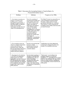<span id="page-17-0"></span>

| Problem                                                                                                                                                                                                                                                                                            | Solution                                                                                                                                                                                                                                                                                                                                                                                                                                                                  | Progress in the 1990s                                                                                                                                                                                                                                                                      |
|----------------------------------------------------------------------------------------------------------------------------------------------------------------------------------------------------------------------------------------------------------------------------------------------------|---------------------------------------------------------------------------------------------------------------------------------------------------------------------------------------------------------------------------------------------------------------------------------------------------------------------------------------------------------------------------------------------------------------------------------------------------------------------------|--------------------------------------------------------------------------------------------------------------------------------------------------------------------------------------------------------------------------------------------------------------------------------------------|
| 1. Government accounting was<br>largely in the hands of the<br>banking system, operating<br>through the branch network of<br>the former BOR, providing the<br>MOF with incomplete<br>information and only at the last<br>stage of the spending process.                                            | Move the accounting of<br>government transactions out<br>of the banking system into<br>the MOF to speed up and<br>improve the quality of<br>information at the disposal<br>of the MOF for policy<br>decisions. This will be<br>accomplished by developing<br>a ledger system in the MOF<br>as a central register to<br>maintain government<br>accounts on a current basis<br>on all stages of<br>expenditure-commitments,<br>verifications, and payment<br>orders issued. | The Federal Treasury has assumed the role<br>as the government accountant and has<br>developed a ledger system to record<br>government transactions on a cash basis.<br>There remains a need to restructure the<br>accounting system and the chart of accounts<br>on which it is based.    |
| 2. The accounting system was<br>based on a budget classification<br>system inherited from the<br>planning system, which will<br>become increasingly irrelevant in<br>a market-based economy for<br>analysis and policy purposes.                                                                   | Develop an accounting plan<br>based on a budget<br>classification system that<br>allows greater scope for<br>economic analysis.                                                                                                                                                                                                                                                                                                                                           | Classifications have been adapted and<br>accounting has changed, but much work<br>remains to be completed in this area.                                                                                                                                                                    |
| 3. Reporting from the ministries<br>to the MOF was inadequate-<br>timely reports were overly<br>aggregative, and only in cash and<br>not commitment terms; detailed<br>reports existed but were obtained<br>with considerable time lags that<br>negated their value for fiscal<br>policy purposes. | Develop timely reporting of<br>all stages of spending from<br>commitments to cash, as a<br>basis of controlling<br>spending limits both at the<br>commitment and cash<br>stages-the former forcing<br>consideration of adjustments<br>in policies.                                                                                                                                                                                                                        | "Flash reports" were developed, but<br>reporting continued to be geared to<br>compliance—i.e., generating reports in great<br>detail but with substantial time lags. Special<br>reports on arrears, and then commitments,<br>were only partially covered toward the end<br>of this period. |

#### Table 3. Restructure the Accounting System to Form the Basis of a Financial Information System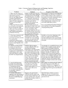<span id="page-18-0"></span>

| Problem                                                                                                                                                                                                                                                                                                          | Solution                                                                                                                                                                                                                                                                                                                                                                                                                                             | Progress in the 1990s                                                                                                                                                                                                                                                                                                                                                                                                                                                                                                                                                        |
|------------------------------------------------------------------------------------------------------------------------------------------------------------------------------------------------------------------------------------------------------------------------------------------------------------------|------------------------------------------------------------------------------------------------------------------------------------------------------------------------------------------------------------------------------------------------------------------------------------------------------------------------------------------------------------------------------------------------------------------------------------------------------|------------------------------------------------------------------------------------------------------------------------------------------------------------------------------------------------------------------------------------------------------------------------------------------------------------------------------------------------------------------------------------------------------------------------------------------------------------------------------------------------------------------------------------------------------------------------------|
| 1. There was little analysis of<br>overall economic developments,<br>with which to guide the<br>direction and timing of budget<br>execution. Paralleling this,<br>there was little analysis of the<br>impact of budget aggregates on<br>the economy and overall<br>liquidity.<br>2. There was little forecasting | Prepare a detailed financing plan,<br>including major budget aggregates<br>and financing flows. This would<br>be updated regularly by the MOF<br>on a rolling basis, depending on<br>forecasts of key macroeconomic<br>parameters and would be<br>consistent with monetary and<br>external developments.<br>The more timely provision of                                                                                                             | Financial plans are prepared at the beginning<br>of each budget cycle, but there are doubts as<br>to their quality and there is little adaptation of<br>these plans to economic circumstances and on<br>a rolling basis-at least only for the<br>immediate week and at most a month ahead.<br>Financial planning has remained short-run<br>and reactive rather than proactive.<br>Forecasting techniques have been developed,                                                                                                                                                |
| of cash inflows and outflows to<br>the government that would<br>allow a less abrupt curtailment<br>of spending and achieve the<br>more orderly programming of<br>government financing.                                                                                                                           | information provided by the MOF<br>financial management system on<br>present cash position of the<br>government would form the basis<br>for detailed cash flow forecasting,<br>the setting of spending limits, and<br>the programming of financing.                                                                                                                                                                                                  | but are primitive and not fully integrated to<br>cash programming needs.                                                                                                                                                                                                                                                                                                                                                                                                                                                                                                     |
| 3. Financing arrangements did<br>not allow flexibility in the<br>government operations, and did<br>not coordinate the<br>government's financial needs<br>with those of the central bank's<br>needs to control liquidity in the<br>economy.                                                                       | Within the framework of the<br>financial plan the MOF would<br>undertake day-to-day financing<br>operations, in cooperation with<br>the National Bank, and in the<br>context of an outstanding line of<br>credit.                                                                                                                                                                                                                                    | The Debt and Securities Department of the<br>MOF does cooperate with the BOR in<br>decisions regarding the issue of government<br>debt, however, this has not worked smoothly<br>in the past.                                                                                                                                                                                                                                                                                                                                                                                |
| 4. Multiple accounts for both<br>revenues and expenditures in<br>the banking system slowed<br>down cash transmittal and led<br>to uncconomic accumulation of<br>credit balances, and in some<br>cases cash balances, on which<br>the MOF was charged interest.                                                   | Switch all bank accounts to<br>accounts within the MOF, and<br>consolidate all banking<br>transactions in one MOF account<br>at the central bank. In this way, if<br>any unused credit balances exist,<br>they will be at the disposal of the<br>MOF to reduce its overdraft with<br>the BOR, and not the banking<br>system. The use of a single<br>account at the BOR, which will<br>improve cash management and<br>financial operations generally. | The principle of a consolidated treasury single<br>account (TSA) has been accepted, and the<br>bank accounts of all budget institutions<br>covered by the treasury system have been<br>closed, allowing a consolidation of cash<br>balances. Because of weaknesses of the<br>banking system it has not been possible to<br>operate treasury regional accounts as transit<br>accounts, on a zero balance principle, and at<br>the same time many budget institutions are<br>outside the Treasury and numerous others<br>maintain nonbudget accounts in the banking<br>system. |
| 5. Lack of eash forecasting<br>precluded financial planning<br>and led to short-term reactions<br>to satisfying government<br>financing needs that added to<br>the cost and created difficulties<br>for the BOR's conduct of<br>monetary policy.                                                                 | Develop cash forecasting, to aid<br>in the planning of financing<br>operations and, in particular,<br>maintain debt registers so as to be<br>able to project debt service<br>obligations.                                                                                                                                                                                                                                                            | Debt registers are maintained by the Debt and<br>Securities Department of the MOF, and<br>projections of debt service obligations are<br>available in a timely manner. This work is not<br>yet fully integrated into government financial<br>planning.                                                                                                                                                                                                                                                                                                                       |
| 6. The lack of flexibility in<br>adjusting to the cash position of<br>government was aggravated by<br>the lack of suitable financing<br>instruments.                                                                                                                                                             | Regularize the government's<br>credit line from the central bank<br>on more market-related terms, up<br>to some specified limit, and in the<br>medium term develop a market in<br>government debt.                                                                                                                                                                                                                                                   | Given the history of failure to meet its<br>obligations, the lack of confidence has<br>hindered the development of a market in<br>government debt.                                                                                                                                                                                                                                                                                                                                                                                                                           |

 $\sim$ 

#### [Table 4. Develop Financial Management and Planning Functions](#page-3-0) (based on a Treasury Single Account)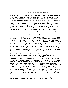#### VII. THE REMAINING AREAS FOR REFORM

<span id="page-19-0"></span>There are many constraints on the full implementation of the Budget Code, which will have to be removed. First among these is the need to better align resources with budget commitments to make the budget a more realistic expenditure plan. To do so will require a fundamental review of the role of government in the Russian Federation and obtaining a more realistic appreciation of the size of core government activities that can be financed from the present tax base. Addressing these issues requires a high degree of political commitment and a concentrated effort by the central agencies of government. This most fundamental structural issue lies more in the domain of budget policy rather than techniques of budget management. However, the failure to address this fundamental issue will have adverse impacts on other improvements to the budget process, and the ability to fully implement the Budget Code. It is apparent that this had been recognized and in 2001 the authorities began a systematic review of budget programs.

#### The need for a fundamental review of government operations

The 1990s was characterized by basic imbalances between budget commitments and available resources to fund them. Partly this arose from the fact that the budget represented an incomplete list of commitments since it did not fully include the liabilities of the government arising from entitlements from other legislation. In Russia these entitlements are prolific, covering almost all spheres of life. While it must be agreed that the quantification of these entitlements is difficult, and that any attempt to limit these provisions is not easy, a beginning has been made to assess their size and develop a strategy to rationalize them. Perhaps more important, in the past there has been a continual failure to face decisions on what should be the core role of government-to identify what constitutes government services and what does not—meant that no explicit policy decisions were taken on non-essential services to be scaled back or eliminated,

Without such a fundamental review of the structure of government operations, unrealistic budgeting has been the rule. Insufficient revenues to meet all budget needs resulted in continuous forced expenditure sequestration and a lack of efficient controls over budgetary commitments, forcing fiscal adjustment from the federal to lower levels of government, and creating a large gray sector within government that largely went unrecorded and escaped regular budgetary controls, These included: payments in kind transacted at nonmarket clearing prices that represented a hidden subsidy to nonviable enterprises and perpetuated soft budget constraints; tax expenditures that were unreported but pervasive, constituting significant indirect subsidies to large enterprises that were not reflected in the budget (so-called "quasi-fiscal operations"); tax offsets against government arrears represented a substantial loss for budget recipients and implicit subsidy to providers owing to higher prices on arrears and discounts on tax payments; and expenditure arrears have been endemic in key sectors, such as energy and military procurement, where bills were settled in kind or by noncash means, and aggravated these other problems,

Slowly, there has been a realization that all of these ad hoc solutions not only reduced the transparency of the budget process, but also led to major inefficiencies in resource allocation,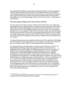and compounded the difficulty in redressing the fundamental problems of fiscal management. Moreover, they provided a profitable busincss for intermediaries (discounting and floating associated financial flows) and a huge source of rent seeking. As a result, large vested interests arose to defend these practices and may still reprcscnt an important barrier to future reform. From 2000, there was a noticcable change in policy, at least in some sectors, to challenge such vested interests.

#### The need to apply the Budget Code to all government operations

The main elements of the reform strategy, outlined in the previous section, have largely been incorporated in the new budget system law, the Budget Code, first implemented in the budgct of 2000. With the adoption of the Budgct Code, the reform of the Russian budget system took a significant step forward. This fundamental budget system law took four years to be passed by parliament and to be promulgated. Within thc law it is possible to detect some features inherited from the previous system, but for the most part the budget system specified in the law is based on principles and practices commonly found in OECD countries.<sup>8</sup> However, the passing of this law must be regarded as the beginning of the next phase in budget system reform rather than its final solution.

At present, large componcnts of government operations are not fully compliant with the Budget Code. There has been some progress, however, in its extension to a number of areas that in the past were outside its control—the MOD, extrabudgetary funds, and local budgets.

The largest exception to thc Budget Code's coverage has been the Ministry of Defense. The Russian defense establishment operated throughout the 1990s as an enclave that was independent of the rest of the budget and normal budget practices. This also is changing. The Budget Code is recognized as applying to all federal ministries, and there is a program to progressively execute the MOD budget through the federal treasury system. Similarly, extrabudgetary funds have been subject to more budget control. Byend-FY 1999, there were five major funds at the federal level—the Pension Fund, the Social Insurance Fund, the Fund for Mcdical Insurance, the Employment Fund, and the Road Fund-which were extrabudgetary. By Art. 7 of the FY 2001 budget, most EBFs were eliminated. The new government chart of accounts includes new heads of accounts for the three main EBFs—the Pension Fund, the Social Insurance Fund, and the Compulsory Medical Insurance Fund. Although technically inside the budget and under the FT, these funds have in the past used their own classification system and have followed their own accounting rules. This implies that the true integration of these funds will take some time to be technically consistent with, and fully intcgrated into, treasury accounting and rcporting.

<sup>8</sup> A critical appraisal of the Budget Code is contained **in J.** Diamond: "The New Russian Budget System: An Assessment and Future Reform Agenda," lMF, 2001 unpublished.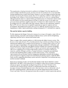The requirement on local governments to conform to the Budget Code, the imposition of a common budget classification system, and their own lack of expertise to do so, has meant that local governments have turned to the Federal Treasury to carry out budget execution functions for them. By entering the treasury system, they will be required to conform to other aspects of the Budgct Code. In theory, lower-level governments enter the **FT** only on a voluntary basis, although in practicc there is a current trend in government policy to extend more central control over the regions and hence greater pressure for them to enter the system. At the same time, given past arrears problems, suppliers (especially of utilities) have often insisted that the local government be in the system before they sign contracts. There are clear indications, therefore, that the **FT** will most likely have to expand its operations in respect to regional and local governments. Processing local revenues may not be too difficult, but processing lower-level expenditures is likely to prove problematic, perhaps straining the FI's administrative capacity.

#### **The need for further capacity building**

To fully implement the Budget Code and to increase its coverage will require a major effort **in**  capacity building, especially in developing the federal treasury system and in strengthening supporting functions such as internal and external audit.

There is a major effort currently underway to fully develop the federal treasury system. This focuses on four main elements. First, the enhancement of government accounting to bring it to international standards and to complete the development of a treasury ledger system that will record all stages of expenditure, from appropriation, through commitment, verification, and final cash payment. Second, the consolidation of all government cash resources through the creation of a treasury single account (TSA), to improve government cash management. This will involve completing the coverage of the treasury system, by inclusion of all security ministries, and the off-budget activities of budget institutions, closing the associated bank accounts and transierring them to ledger accounts in the treasury. Third, substantial improvement in the government financial management information system by developing a system of reports to support an improved central financial planning capacity within the MOF. Lastly, to fully computerize the treasury system network to implement these reforms and carry out this increased workload.

Russia has no tradition of audit, and this function remains weak. Russia inherited a control department in the MOF, which operated as an investigative rather than preventative institution carrying out special investigations on alleged irregularities and iraud. Overlaid on this traditional audit function Russia instituted an external audit institution, the Chamber of Accounts. **In** terms of internal financial control, there has been a move to refocus the work of this MOF central department, which has been renamed the Department for State Financial Control and Audit. However, the approach retains the concept of a central inspectorate, and also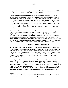<span id="page-22-0"></span>the emphasis on control and investigation of irregularities rather than the more accepted OECD concept of internal audit as an aid to agency budget management.<sup>9</sup>

To support a reform program in public expenditure managcment, it is essential to establish external chccks on budget performance. In this regard, the external audit function is critical. International experience suggests that this function is most effective when the supreme audit institution has genuine independence from the executive, with tinaely access to comprehensive budget execution data. While reporting to the legislaturc, it is able to pursue a systematic, indcpendently determined program of audit, with separate budgetary provision for any ad-hoc investigations required by the legislaturc; and, confines its role principally to ex-post audit, without compromise from any parallel engagement in the activities of budget formulation and **execution.** 

In Russia, the Chamber of Accounts has been hindered in carrying out this role owing to three main factors: (i) inadequate expenditure reporting and accounts preparation by the executivc; (ii) diversion from a systcmatic work program by the intervention of ad hoc investigations requested by the legislature; and (iii) dilution of its core responsibilities for ex post audit by other tasks such as advicc on budget formulation, intervention in budget execution, and an enforcement role with respect to implementation of audit fmdings and penalties. In the future, it will be necessary to address these issues and to technically reinforce the Chamber of Accounts with more suitably qualified staff, computerization, and a suitable training program.

#### **VIlf.** LESSONS FROM **THE** [RUSSIAN EXPERIENCE](#page-3-2)

The first lesson learned from the experience of Russia is that reforming budget systems takes time. It has taken almost a decade to adopt a legal framework for a markct-bascd system Evcn with this advancc, the Budget Code is not fully implemented and it is openly admitted that it will take time to ensure full adherence to the Code. The slow speed of reform reflects the fact that this institutional transformation is not just a technical matter. Apart from the need to ovcrcome capacity constraints, a more important brake on the process is the need to make fundamental policy choices.

Inevitably, it has taken time to recognize and accept some of the shifts in the internal balance of power implied by the move to a market-based budget system Many of these shifts are still in the process of being resolved. For cxample, the view of the state's role in economic activity is clearer but still not fully in line with a market-based system found in most OECD countries. The balance of power betwecn the legislature and the executive branch also has been clarified, but not fully settled. As noted, although less chaotic than was the case in the initial stages of the transition process, the balance between central and other levels of government is still evolving.

<sup>9</sup>**The role of internal audit in budget management is discussed more fully in J. Diamond,** 'The **Role of Internal**  Audit in Government Financial Management," IMF, 2001, unpublished.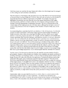Until these issues are resolved, the legal framework within which the budget must be managed *is* often ambiguous and somctimes contradictory.

With the adoption of the Budget Code, the paramount role of the MOF as the financial manager of the government has been confirmed. However, there still exist problems over the *division* of responsibilities between different departments of the MOF. For example, this paper has highlighted the problems that arise from the role of the Budget Department in the budget execution process, and there are limits on the role of the treasury as the government's cash manager when debt management *is* undertaken elsewhere. The rolc of external audit *in* the various stages of the budget process also still lacks clarity, although has not been a source of eonilict simply because of the lack of capacity ofthe Chamber of Audit to fully carry out *its*  mandate.

Accommodating these constraints has led to an imbalance in the reform process. As indicated, progress has been much faster in reforming budget execution than in budgct formulation. In budget execution, where there was a clear gap to be filled, and where there was no vested interest to overcome, progress was easier. For example, *with* the withdrawal ofthe BOR from treasury operations, there was little hindrance, and indeed an incentive, to set up an alternative system. This was reinforced by the fact that the treasury's operations were viewed more as a technical function, involving limited policy content. In contrast, reforming budget preparation has proved much more difficult. This involves replacing an already existing system, with its own vested interests, and *in* an area where policy decisions cannot be avoided. One of the most important of these policy issues revolves around who has the authority, and the scope of that authority, to make policy decisions *in* the budget area. In terms of the reform of the budget system, the result has been that further improvement in budget execution is increasingly being held back by poor budget preparation. Future reform requires that this imbalance be corrected.

Another cause of the slowness *in* reform has been the unstable economic situation faced by policymakers. Opinion is often divided over whether crisis stimulates and speeds up reform, by revealing deficiencies *in* the present system, or acts as a brake to taking decisive actions with a longer-run pay-off. In the case of Russia, the experience of institutional reforms, such as that examined in this paper, seem to lend more support to the latter argument. While the severe fiscal stress experienced by Russia after the breakup of the Soviet Union revealed the weakness ofthe budget system, it *is* doubtful that *it* acted as an immediate stimulant to reform. A learning period seemed to be required. There was clear tendency to first try to adapt the old system, to muddle through, and when this was demonstrably not possible, only then to attempt to refoml the system as a whole. Even now, after the adoption of the Budget Code, *in* many areas of the budget system there is a clear tendency, if only because of the need to overcome administrative capacity constraints, to adapt and to modify the system pieeemeallo bring *it* into line with the Code.

Undoubtedly, while crisis provided the incentive to reform, there is a certain tension *in* this relationship so that the degree of crisis is important—too much can be disruptive and counterproductive for reform. Certainly, the recent increase in the oil price, in eliminating fiscal stress, at least in the immediate term, has provided a window of opportunity for accelerating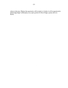reform in this area, Whether this opportunity will be seized, or whether it will be squandered in maintaining budget inefficiencies, is an open question for future budget system reform in Russia,

 $\sim$ 

 $\sim 10^7$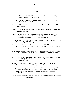#### **REFERENCES**

- <span id="page-25-0"></span>Alesina, A., R. Perotti, 1995, "The Political Economy of Budget Deficits," *Staff Papers,*  International Monetary Fund, Vol.42, pp.1-31.
- Diamond, J. "The New Russian Budget System: An Assessment and Future Reform Agenda", IMF, 2001, unpublished
- Diamond, J. "The Role of Internal Audit in Government Financial Management," IMF, 2001, unpublished.
- Fischer, S., "What Went Wrong in Russia," *Financial Times* September 27, 1999, in IMF Press Report No. 99/13.
- Hausman, R., and E. Stein, 1997, "Searching for the Right Budgetary Institutions for a Volatile Region", in *Securing Stability and Growth in Latin America* (Paris: Organization for Economic Cooperation and Development).
- Holtham, *G.,* and 1. Kay, 1995, "The Assessment: Institutions of Policy," *Oxford Review of Economic Policy, Vol. 10, No. 3, pp. 1–16.*
- Lavrov, A., J. M. Litwick, and D. Sutherland, forthcoming, "Fiscal Federalist Relations in Russia: A Case for Sub-national Autonomy," in E. Ahmad and V. Tanzi, Issues in Fiscal Decentralization, Routledge.
- Lopez-Claros, A., and S.V. Alexashenko, 1998, *Fiscal Policy Issues During the Transition in Russia,* IMF Occasional Paper No. 155 (Washington: International Monetary Fund).
- Mau, V., 2000, "Russian Economic Reforms as Perceived by Western Critics," in *Russian Crisis and its Effects,"* edited by T. Komulainen and I. Korhonen (Helsinki: Aleksanteri-instituutti)
- Mazarov, A. 1999, "Issues in Public Expenditure Policy, A Note presented at the Post Election Strategy Conference (Washington: World Bank).
- Norris, Era-Dabla Norris, Jorge Martinez-Vazquez, and John Norregaard, 2000, "Making Decentralization Work: the Case of Russia, Ukraine, and Kazakhstan," paper presented at the IMF Conference on Fiscal Decentralization, Washington, November.
- OECD Economic Survey: The Russian Federation, 2000 (Paris: Organization for Economic Cooperation and Development.